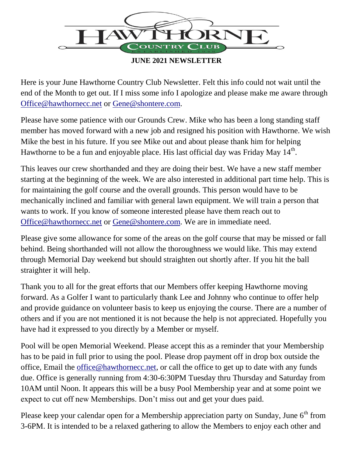

**JUNE 2021 NEWSLETTER**

Here is your June Hawthorne Country Club Newsletter. Felt this info could not wait until the end of the Month to get out. If I miss some info I apologize and please make me aware through [Office@hawthornecc.net](mailto:Office@hawthornecc.net) or [Gene@shontere.com.](mailto:Gene@shontere.com)

Please have some patience with our Grounds Crew. Mike who has been a long standing staff member has moved forward with a new job and resigned his position with Hawthorne. We wish Mike the best in his future. If you see Mike out and about please thank him for helping Hawthorne to be a fun and enjoyable place. His last official day was Friday May  $14^{\text{th}}$ .

This leaves our crew shorthanded and they are doing their best. We have a new staff member starting at the beginning of the week. We are also interested in additional part time help. This is for maintaining the golf course and the overall grounds. This person would have to be mechanically inclined and familiar with general lawn equipment. We will train a person that wants to work. If you know of someone interested please have them reach out to [Office@hawthornecc.net](mailto:Office@hawthornecc.net) or [Gene@shontere.com.](mailto:Gene@shontere.com) We are in immediate need.

Please give some allowance for some of the areas on the golf course that may be missed or fall behind. Being shorthanded will not allow the thoroughness we would like. This may extend through Memorial Day weekend but should straighten out shortly after. If you hit the ball straighter it will help.

Thank you to all for the great efforts that our Members offer keeping Hawthorne moving forward. As a Golfer I want to particularly thank Lee and Johnny who continue to offer help and provide guidance on volunteer basis to keep us enjoying the course. There are a number of others and if you are not mentioned it is not because the help is not appreciated. Hopefully you have had it expressed to you directly by a Member or myself.

Pool will be open Memorial Weekend. Please accept this as a reminder that your Membership has to be paid in full prior to using the pool. Please drop payment off in drop box outside the office, Email the [office@hawthornecc.net,](mailto:office@hawthornecc.net) or call the office to get up to date with any funds due. Office is generally running from 4:30-6:30PM Tuesday thru Thursday and Saturday from 10AM until Noon. It appears this will be a busy Pool Membership year and at some point we expect to cut off new Memberships. Don't miss out and get your dues paid.

Please keep your calendar open for a Membership appreciation party on Sunday, June  $6<sup>th</sup>$  from 3-6PM. It is intended to be a relaxed gathering to allow the Members to enjoy each other and